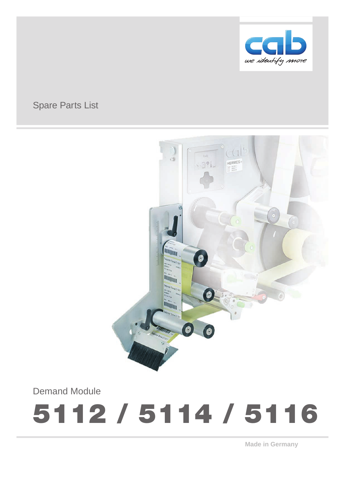

## Spare Parts List



Demand Module

# 5112 / 5114 / 5116

**Made in Germany**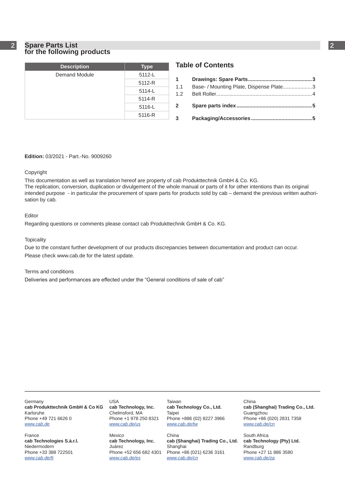#### **2 2 Spare Parts List for the following products**

| <b>Description</b> | <b>Type</b> |
|--------------------|-------------|
| Demand Module      | 5112-L      |
|                    | 5112-R      |
|                    | 5114-L      |
|                    | 5114-R      |
|                    | 5116-L      |
|                    | 5116-R      |

## **Table of Contents**

| 1.1            | Base- / Mounting Plate, Dispense Plate3 |  |
|----------------|-----------------------------------------|--|
|                |                                         |  |
| $\overline{2}$ |                                         |  |
| $3^{\circ}$    |                                         |  |

#### **Edition:** 03/2021 - Part.-No. 9009260

#### Copyright

This documentation as well as translation hereof are property of cab Produkttechnik GmbH & Co. KG. The replication, conversion, duplication or divulgement of the whole manual or parts of it for other intentions than its original intended purpose - in particular the procurement of spare parts for products sold by cab – demand the previous written authorisation by cab.

#### Editor

Regarding questions or comments please contact cab Produkttechnik GmbH & Co. KG.

#### **Topicality**

Due to the constant further development of our products discrepancies between documentation and product can occur. Please check www.cab.de for the latest update.

#### Terms and conditions

Deliveries and performances are effected under the "General conditions of sale of cab"

**Germany cab Produkttechnik GmbH & Co KG** Karlsruhe Phone +49 721 6626 0 *www.cab.de*

France **cab Technologies S.à.r.l.** Niedermodern Phone +33 388 722501 *www.cab.de/fr*

USA **cab Technology, Inc.** Chelmsford, MA Phone +1 978 250 8321 *www.cab.de/us*

Mexico **cab Technology, Inc.** Juárez Phone +52 656 682 4301 *www.cab.de/es*

Taiwan **cab Technology Co., Ltd.** Taipei Phone +886 (02) 8227 3966 *www.cab.de/tw*

China **cab (Shanghai) Trading Co., Ltd.** Shanghai Phone +86 (021) 6236 3161 *www.cab.de/cn*

China **cab (Shanghai) Trading Co., Ltd.** Guangzhou Phone +86 (020) 2831 7358 *www.cab.de/cn*

South Africa **cab Technology (Pty) Ltd.** Randburg Phone +27 11 886 3580 *www.cab.de/za*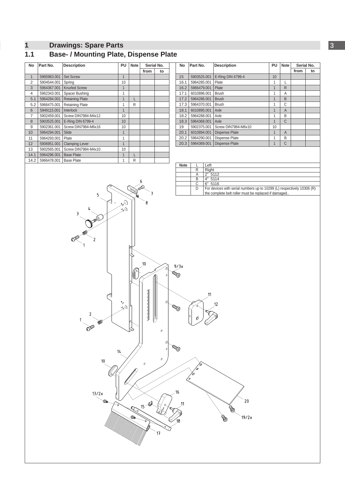## <span id="page-2-0"></span>**2 1 Drawings: Spare Parts 3**

### **1.1 Base- / Mounting Plate, Dispense Plate**

| <b>No</b>      | Part No.    | <b>Description</b>     | Serial No.     |   |      |    |
|----------------|-------------|------------------------|----------------|---|------|----|
|                |             |                        |                |   | from | to |
| 1              | 5965963.001 | <b>Set Screw</b>       | 1              |   |      |    |
| $\overline{2}$ | 5904544.001 | Spring                 | 10             |   |      |    |
| 3              | 5964367.001 | <b>Knurled Screw</b>   | $\mathbf{1}$   |   |      |    |
| 4              | 5962343.001 | Spacer Bushing         | 1              |   |      |    |
| 5.1            | 5964284.001 | <b>Retaining Plate</b> | 1              |   |      |    |
| 5.2            | 5966475.001 | Retaining Plate        | 1              | R |      |    |
| 6              | 5949115.001 | Interlock              | 1              |   |      |    |
| 7              | 5902459.001 | Screw DIN7984-M4x12    | 10             |   |      |    |
| 8              | 5903525.001 | E-Ring DIN 6799-4      | 10             |   |      |    |
| 9              | 5902361.001 | Screw DIN7984-M6x16    | 10             |   |      |    |
| 10             | 5964294.001 | Slide                  | 1              |   |      |    |
| 11             | 5964293.001 | Plate                  | 1              |   |      |    |
| 12             | 5906951.001 | <b>Clamping Lever</b>  | $\overline{1}$ |   |      |    |
| 13             | 5902565.001 | Screw DIN7984-M4x10    | 10             |   |      |    |
| 14.1           | 5964296.001 | <b>Base Plate</b>      | 1              | L |      |    |
| 14.2           | 5966478.001 | <b>Base Plate</b>      | 1              | R |      |    |

| No   | Part No.    | <b>Description</b>    | PU           | <b>Note</b>    |      | Serial No. |
|------|-------------|-----------------------|--------------|----------------|------|------------|
|      |             |                       |              |                | from | to         |
| 15   | 5903525.001 | E-Ring DIN 6799-4     | 10           |                |      |            |
| 16.1 | 5964285.001 | Plate                 | 1            |                |      |            |
| 16.2 | 5966479.001 | Plate                 | 1            | R              |      |            |
| 17.1 | 6010896.001 | <b>Brush</b>          | 1            | A              |      |            |
| 17.2 | 5964286.001 | <b>Brush</b>          | 1            | B              |      |            |
| 17.3 | 5964370.001 | <b>Brush</b>          | 1            | С              |      |            |
| 18.1 | 6010895.001 | Axle                  | $\mathbf{1}$ | A              |      |            |
| 18.2 | 5964288.001 | Axle                  | 1            | B              |      |            |
| 18.3 | 5964368.001 | Axle                  | 1            | C              |      |            |
| 19   | 5902375.001 | Screw DIN7984-M6x10   | 10           |                |      |            |
| 20.1 | 6010894.001 | <b>Dispense Plate</b> | $\mathbf{1}$ | $\overline{A}$ |      |            |
| 20.2 | 5964290.001 | <b>Dispense Plate</b> | 1            | B              |      |            |
| 20.3 | 5964369.001 | <b>Dispense Plate</b> | $\mathbf{1}$ | C              |      |            |



| <b>Note</b> |   | Left                                                                   |
|-------------|---|------------------------------------------------------------------------|
|             | R | Right                                                                  |
|             | Α | 2"5112                                                                 |
|             | R | 4" 5114                                                                |
|             |   | 6"5116                                                                 |
|             |   | For devices with serial numbers up to 10299 (L) respectively 10306 (R) |
|             |   | the complete belt roller must be replaced if damaged                   |



 $20$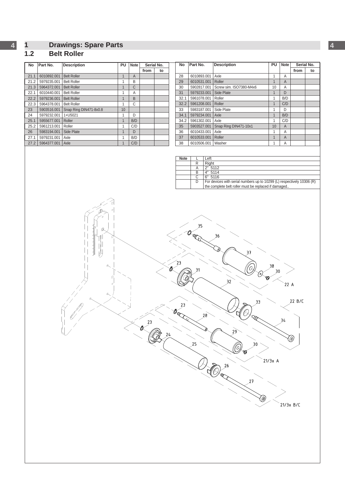## <span id="page-3-0"></span>**4 1 Drawings: Spare Parts 4**

#### **1.2 Belt Roller**

| <b>No</b> | Part No.    | <b>Description</b>     | PU | <b>Note</b>    | Serial No. |    |  |
|-----------|-------------|------------------------|----|----------------|------------|----|--|
|           |             |                        |    |                | from       | to |  |
| 21.1      | 6010892.001 | <b>Belt Roller</b>     | 1  | $\overline{A}$ |            |    |  |
| 21.2      | 5979235.001 | <b>Belt Roller</b>     | 1  | B              |            |    |  |
| 21.3      | 5964372.001 | <b>Belt Roller</b>     | 1  | C              |            |    |  |
| 22.1      | 6010440.001 | <b>Belt Roller</b>     | 1  | Α              |            |    |  |
| 22.2      | 5979236.001 | <b>Belt Roller</b>     | 1  | B              |            |    |  |
| 22.3      | 5964378.001 | <b>Belt Roller</b>     | 1  | C              |            |    |  |
| 23        | 5903516.001 | Snap Ring DIN471-8x0.8 | 10 |                |            |    |  |
| 24        | 5979232.001 | 1+U5021                | 1  | D              |            |    |  |
| 25.1      | 5955677.001 | Roller                 | 1  | B/D            |            |    |  |
| 25.2      | 5961213.001 | Roller                 | 1  | C/D            |            |    |  |
| 26        | 5983194.001 | Side Plate             | 1  | D              |            |    |  |
| 27.1      | 5979231.001 | Axle                   | 1  | B/D            |            |    |  |
| 27.2      | 5964377.001 | Axle                   | 1  | C/D            |            |    |  |

| <b>No</b> | Part No.    | <b>Description</b>      | PU | <b>Note</b>    |      | Serial No. |
|-----------|-------------|-------------------------|----|----------------|------|------------|
|           |             |                         |    |                | from | to         |
| 28        | 6010893.001 | Axle                    | 1  | Α              |      |            |
| 29        | 6010531.001 | Roller                  | 1  | A              |      |            |
| 30        | 5902817.001 | Screw sim. ISO7380-M4x6 | 10 | A              |      |            |
| 31        | 5979233.001 | Side Plate              | 1  | D              |      |            |
| 32.1      | 5961078.001 | Roller                  | 1  | B/D            |      |            |
| 32.2      | 5961208.001 | Roller                  | 1  | C/D            |      |            |
| 33        | 5983187.001 | Side Plate              | 1  | D              |      |            |
| 34.1      | 5979234.001 | Axle                    | 1  | B/D            |      |            |
| 34.2      | 5961302.001 | Axle                    | 1  | C/D            |      |            |
| 35        | 5903527.001 | Snap Ring DIN471-10x1   | 10 | $\overline{A}$ |      |            |
| 36        | 6010433.001 | Axle                    | 1  | Α              |      |            |
| 37        | 6010533.001 | Roller                  | 1  | A              |      |            |
| 38        | 6010506.001 | Washer                  | 1  | A              |      |            |

| <b>Note</b> |   | Left                                                                   |
|-------------|---|------------------------------------------------------------------------|
|             |   | Right                                                                  |
|             |   | 2" 5112                                                                |
|             |   | 4" 5114                                                                |
|             |   | 6"5116                                                                 |
|             | D | For devices with serial numbers up to 10299 (L) respectively 10306 (R) |
|             |   | the complete belt roller must be replaced if damaged                   |